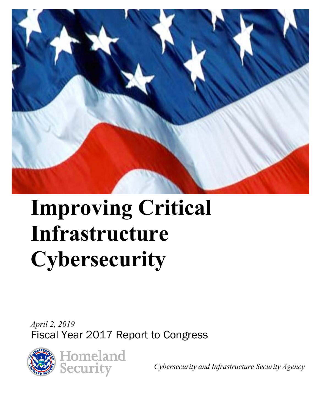

# **Improving Critical Infrastructure Cybersecurity**

*April 2, 2019*  Fiscal Year 2017 Report to Congress



*Cybersecurity and Infrastructure Security Agency*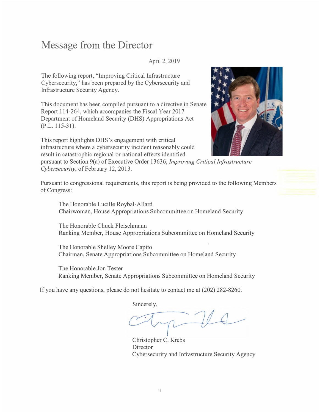## **Message from the Director**

April 2, 2019

The following report, "Improving Critical Infrastructure Cybersecurity," has been prepared by the Cybersecurity and Infrastructure Security Agency.

This document has been compiled pursuant to a directive in Senate Report 114-264, which accompanies the Fiscal Year 2017 Department of Homeland Security (DHS) Appropriations Act  $(P.L. 115-31)$ .

This report highlights DHS's engagement with critical infrastructure where a cybersecurity incident reasonably could result in catastrophic regional or national effects identified



pursuant to Section 9(a) of Executive Order 13636, *Improving Critical Infrastructure Cybersecurity,* of February 12, 2013.

Pursuant to congressional requirements, this report is being provided to the following Members of Congress:

The Honorable Lucille Roybal-Allard Chairwoman, House Appropriations Subcommittee on Homeland Security

The Honorable Chuck Fleischmann Ranking Member, House Appropriations Subcommittee on Homeland Security

The Honorable Shelley Moore Capito Chairman, Senate Appropriations Subcommittee on Homeland Security

The Honorable Jon Tester Ranking Member, Senate Appropriations Subcommittee on Homeland Security

If you have any questions, please do not hesitate to contact me at (202) 282-8260.

Sincerely,

Christopher C. Krebs **Director** Cybersecurity and Infrastructure Security Agency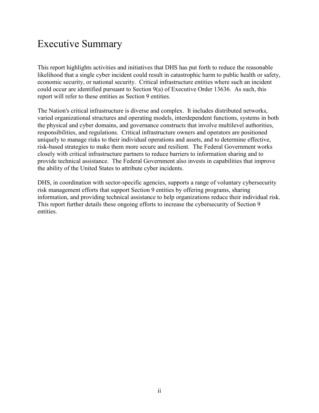## Executive Summary

This report highlights activities and initiatives that DHS has put forth to reduce the reasonable likelihood that a single cyber incident could result in catastrophic harm to public health or safety, economic security, or national security. Critical infrastructure entities where such an incident could occur are identified pursuant to Section 9(a) of Executive Order 13636. As such, this report will refer to these entities as Section 9 entities.

The Nation's critical infrastructure is diverse and complex. It includes distributed networks, varied organizational structures and operating models, interdependent functions, systems in both the physical and cyber domains, and governance constructs that involve multilevel authorities, responsibilities, and regulations. Critical infrastructure owners and operators are positioned uniquely to manage risks to their individual operations and assets, and to determine effective, risk-based strategies to make them more secure and resilient. The Federal Government works closely with critical infrastructure partners to reduce barriers to information sharing and to provide technical assistance. The Federal Government also invests in capabilities that improve the ability of the United States to attribute cyber incidents.

DHS, in coordination with sector-specific agencies, supports a range of voluntary cybersecurity risk management efforts that support Section 9 entities by offering programs, sharing information, and providing technical assistance to help organizations reduce their individual risk. This report further details these ongoing efforts to increase the cybersecurity of Section 9 entities.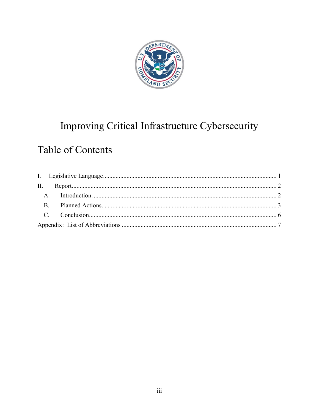

# Improving Critical Infrastructure Cybersecurity

# Table of Contents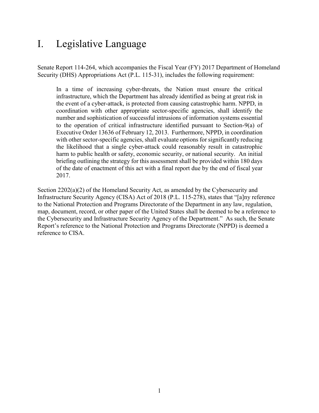## <span id="page-4-0"></span>I. Legislative Language

Senate Report 114-264, which accompanies the Fiscal Year (FY) 2017 Department of Homeland Security (DHS) Appropriations Act (P.L. 115-31), includes the following requirement:

In a time of increasing cyber-threats, the Nation must ensure the critical infrastructure, which the Department has already identified as being at great risk in the event of a cyber-attack, is protected from causing catastrophic harm. NPPD, in coordination with other appropriate sector-specific agencies, shall identify the number and sophistication of successful intrusions of information systems essential to the operation of critical infrastructure identified pursuant to Section-9(a) of Executive Order 13636 of February 12, 2013. Furthermore, NPPD, in coordination with other sector-specific agencies, shall evaluate options for significantly reducing the likelihood that a single cyber-attack could reasonably result in catastrophic harm to public health or safety, economic security, or national security. An initial briefing outlining the strategy for this assessment shall be provided within 180 days of the date of enactment of this act with a final report due by the end of fiscal year 2017.

Section 2202(a)(2) of the Homeland Security Act, as amended by the Cybersecurity and Infrastructure Security Agency (CISA) Act of 2018 (P.L. 115-278), states that "[a]ny reference to the National Protection and Programs Directorate of the Department in any law, regulation, map, document, record, or other paper of the United States shall be deemed to be a reference to the Cybersecurity and Infrastructure Security Agency of the Department." As such, the Senate Report's reference to the National Protection and Programs Directorate (NPPD) is deemed a reference to CISA.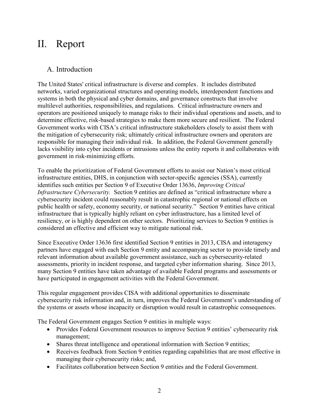### <span id="page-5-0"></span>II. Report

#### <span id="page-5-1"></span>A. Introduction

The United States' critical infrastructure is diverse and complex. It includes distributed networks, varied organizational structures and operating models, interdependent functions and systems in both the physical and cyber domains, and governance constructs that involve multilevel authorities, responsibilities, and regulations. Critical infrastructure owners and operators are positioned uniquely to manage risks to their individual operations and assets, and to determine effective, risk-based strategies to make them more secure and resilient. The Federal Government works with CISA's critical infrastructure stakeholders closely to assist them with the mitigation of cybersecurity risk; ultimately critical infrastructure owners and operators are responsible for managing their individual risk. In addition, the Federal Government generally lacks visibility into cyber incidents or intrusions unless the entity reports it and collaborates with government in risk-minimizing efforts.

To enable the prioritization of Federal Government efforts to assist our Nation's most critical infrastructure entities, DHS, in conjunction with sector-specific agencies (SSA), currently identifies such entities per Section 9 of Executive Order 13636, *Improving Critical Infrastructure Cybersecurity.* Section 9 entities are defined as "critical infrastructure where a cybersecurity incident could reasonably result in catastrophic regional or national effects on public health or safety, economy security, or national security." Section 9 entities have critical infrastructure that is typically highly reliant on cyber infrastructure, has a limited level of resiliency, or is highly dependent on other sectors. Prioritizing services to Section 9 entities is considered an effective and efficient way to mitigate national risk.

Since Executive Order 13636 first identified Section 9 entities in 2013, CISA and interagency partners have engaged with each Section 9 entity and accompanying sector to provide timely and relevant information about available government assistance, such as cybersecurity-related assessments, priority in incident response, and targeted cyber information sharing. Since 2013, many Section 9 entities have taken advantage of available Federal programs and assessments or have participated in engagement activities with the Federal Government.

This regular engagement provides CISA with additional opportunities to disseminate cybersecurity risk information and, in turn, improves the Federal Government's understanding of the systems or assets whose incapacity or disruption would result in catastrophic consequences.

The Federal Government engages Section 9 entities in multiple ways:

- Provides Federal Government resources to improve Section 9 entities' cybersecurity risk management;
- Shares threat intelligence and operational information with Section 9 entities;
- Receives feedback from Section 9 entities regarding capabilities that are most effective in managing their cybersecurity risks; and,
- Facilitates collaboration between Section 9 entities and the Federal Government.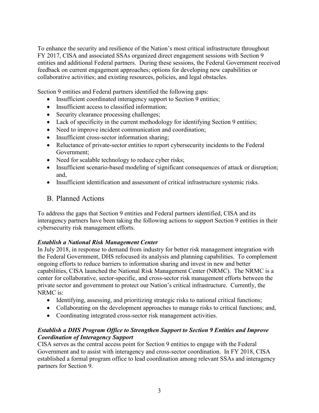To enhance the security and resilience of the Nation's most critical infrastructure throughout FY 2017, CISA and associated SSAs organized direct engagement sessions with Section 9 entities and additional Federal partners. During these sessions, the Federal Government received feedback on current engagement approaches; options for developing new capabilities or collaborative activities; and existing resources, policies, and legal obstacles.

Section 9 entities and Federal partners identified the following gaps:

- Insufficient coordinated interagency support to Section 9 entities;
- Insufficient access to classified information:
- Security clearance processing challenges;
- Lack of specificity in the current methodology for identifying Section 9 entities;
- Need to improve incident communication and coordination;
- Insufficient cross-sector information sharing;
- Reluctance of private-sector entities to report cybersecurity incidents to the Federal Government;
- Need for scalable technology to reduce cyber risks;
- Insufficient scenario-based modeling of significant consequences of attack or disruption; and,
- Insufficient identification and assessment of critical infrastructure systemic risks.

#### <span id="page-6-0"></span>B. Planned Actions

To address the gaps that Section 9 entities and Federal partners identified, CISA and its interagency partners have been taking the following actions to support Section 9 entities in their cybersecurity risk management efforts.

#### *Establish a National Risk Management Center*

In July 2018, in response to demand from industry for better risk management integration with the Federal Government, DHS refocused its analysis and planning capabilities. To complement ongoing efforts to reduce barriers to information sharing and invest in new and better capabilities, CISA launched the National Risk Management Center (NRMC). The NRMC is a center for collaborative, sector-specific, and cross-sector risk management efforts between the private sector and government to protect our Nation's critical infrastructure. Currently, the NRMC is:

- Identifying, assessing, and prioritizing strategic risks to national critical functions;
- Collaborating on the development approaches to manage risks to critical functions; and,
- Coordinating integrated cross-sector risk management activities.

#### *Establish a DHS Program Office to Strengthen Support to Section 9 Entities and Improve Coordination of Interagency Support*

CISA serves as the central access point for Section 9 entities to engage with the Federal Government and to assist with interagency and cross-sector coordination. In FY 2018, CISA established a formal program office to lead coordination among relevant SSAs and interagency partners for Section 9.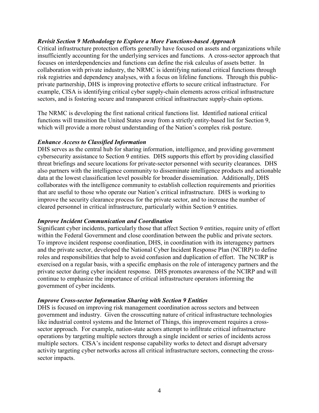#### *Revisit Section 9 Methodology to Explore a More Functions-based Approach*

Critical infrastructure protection efforts generally have focused on assets and organizations while insufficiently accounting for the underlying services and functions. A cross-sector approach that focuses on interdependencies and functions can define the risk calculus of assets better. In collaboration with private industry, the NRMC is identifying national critical functions through risk registries and dependency analyses, with a focus on lifeline functions. Through this publicprivate partnership, DHS is improving protective efforts to secure critical infrastructure. For example, CISA is identifying critical cyber supply-chain elements across critical infrastructure sectors, and is fostering secure and transparent critical infrastructure supply-chain options.

The NRMC is developing the first national critical functions list. Identified national critical functions will transition the United States away from a strictly entity-based list for Section 9, which will provide a more robust understanding of the Nation's complex risk posture.

#### *Enhance Access to Classified Information*

DHS serves as the central hub for sharing information, intelligence, and providing government cybersecurity assistance to Section 9 entities. DHS supports this effort by providing classified threat briefings and secure locations for private-sector personnel with security clearances. DHS also partners with the intelligence community to disseminate intelligence products and actionable data at the lowest classification level possible for broader dissemination. Additionally, DHS collaborates with the intelligence community to establish collection requirements and priorities that are useful to those who operate our Nation's critical infrastructure. DHS is working to improve the security clearance process for the private sector, and to increase the number of cleared personnel in critical infrastructure, particularly within Section 9 entities.

#### *Improve Incident Communication and Coordination*

Significant cyber incidents, particularly those that affect Section 9 entities, require unity of effort within the Federal Government and close coordination between the public and private sectors. To improve incident response coordination, DHS, in coordination with its interagency partners and the private sector, developed the National Cyber Incident Response Plan (NCIRP) to define roles and responsibilities that help to avoid confusion and duplication of effort. The NCIRP is exercised on a regular basis, with a specific emphasis on the role of interagency partners and the private sector during cyber incident response. DHS promotes awareness of the NCIRP and will continue to emphasize the importance of critical infrastructure operators informing the government of cyber incidents.

#### *Improve Cross-sector Information Sharing with Section 9 Entities*

DHS is focused on improving risk management coordination across sectors and between government and industry. Given the crosscutting nature of critical infrastructure technologies like industrial control systems and the Internet of Things, this improvement requires a crosssector approach. For example, nation-state actors attempt to infiltrate critical infrastructure operations by targeting multiple sectors through a single incident or series of incidents across multiple sectors. CISA's incident response capability works to detect and disrupt adversary activity targeting cyber networks across all critical infrastructure sectors, connecting the crosssector impacts.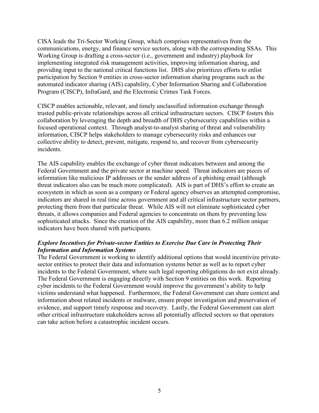CISA leads the Tri-Sector Working Group, which comprises representatives from the communications, energy, and finance service sectors, along with the corresponding SSAs. This Working Group is drafting a cross-sector (i.e., government and industry) playbook for implementing integrated risk management activities, improving information sharing, and providing input to the national critical functions list. DHS also prioritizes efforts to enlist participation by Section 9 entities in cross-sector information sharing programs such as the automated indicator sharing (AIS) capability, Cyber Information Sharing and Collaboration Program (CISCP), InfraGard, and the Electronic Crimes Task Forces.

CISCP enables actionable, relevant, and timely unclassified information exchange through trusted public-private relationships across all critical infrastructure sectors. CISCP fosters this collaboration by leveraging the depth and breadth of DHS cybersecurity capabilities within a focused operational context. Through analyst-to-analyst sharing of threat and vulnerability information, CISCP helps stakeholders to manage cybersecurity risks and enhances our collective ability to detect, prevent, mitigate, respond to, and recover from cybersecurity incidents.

The AIS capability enables the exchange of cyber threat indicators between and among the Federal Government and the private sector at machine speed. Threat indicators are pieces of information like malicious IP addresses or the sender address of a phishing email (although threat indicators also can be much more complicated). AIS is part of DHS's effort to create an ecosystem in which as soon as a company or Federal agency observes an attempted compromise, indicators are shared in real time across government and all critical infrastructure sector partners, protecting them from that particular threat. While AIS will not eliminate sophisticated cyber threats, it allows companies and Federal agencies to concentrate on them by preventing less sophisticated attacks. Since the creation of the AIS capability, more than 6.2 million unique indicators have been shared with participants.

#### *Explore Incentives for Private-sector Entities to Exercise Due Care in Protecting Their Information and Information Systems*

The Federal Government is working to identify additional options that would incentivize privatesector entities to protect their data and information systems better as well as to report cyber incidents to the Federal Government, where such legal reporting obligations do not exist already. The Federal Government is engaging directly with Section 9 entities on this work. Reporting cyber incidents to the Federal Government would improve the government's ability to help victims understand what happened. Furthermore, the Federal Government can share context and information about related incidents or malware, ensure proper investigation and preservation of evidence, and support timely response and recovery. Lastly, the Federal Government can alert other critical infrastructure stakeholders across all potentially affected sectors so that operators can take action before a catastrophic incident occurs.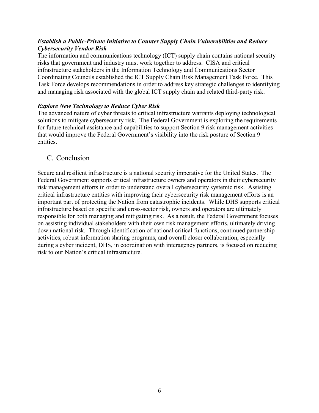#### *Establish a Public-Private Initiative to Counter Supply Chain Vulnerabilities and Reduce Cybersecurity Vendor Risk*

The information and communications technology (ICT) supply chain contains national security risks that government and industry must work together to address. CISA and critical infrastructure stakeholders in the Information Technology and Communications Sector Coordinating Councils established the ICT Supply Chain Risk Management Task Force. This Task Force develops recommendations in order to address key strategic challenges to identifying and managing risk associated with the global ICT supply chain and related third-party risk.

#### *Explore New Technology to Reduce Cyber Risk*

The advanced nature of cyber threats to critical infrastructure warrants deploying technological solutions to mitigate cybersecurity risk. The Federal Government is exploring the requirements for future technical assistance and capabilities to support Section 9 risk management activities that would improve the Federal Government's visibility into the risk posture of Section 9 entities.

#### <span id="page-9-0"></span>C. Conclusion

Secure and resilient infrastructure is a national security imperative for the United States. The Federal Government supports critical infrastructure owners and operators in their cybersecurity risk management efforts in order to understand overall cybersecurity systemic risk. Assisting critical infrastructure entities with improving their cybersecurity risk management efforts is an important part of protecting the Nation from catastrophic incidents. While DHS supports critical infrastructure based on specific and cross-sector risk, owners and operators are ultimately responsible for both managing and mitigating risk. As a result, the Federal Government focuses on assisting individual stakeholders with their own risk management efforts, ultimately driving down national risk. Through identification of national critical functions, continued partnership activities, robust information sharing programs, and overall closer collaboration, especially during a cyber incident, DHS, in coordination with interagency partners, is focused on reducing risk to our Nation's critical infrastructure.